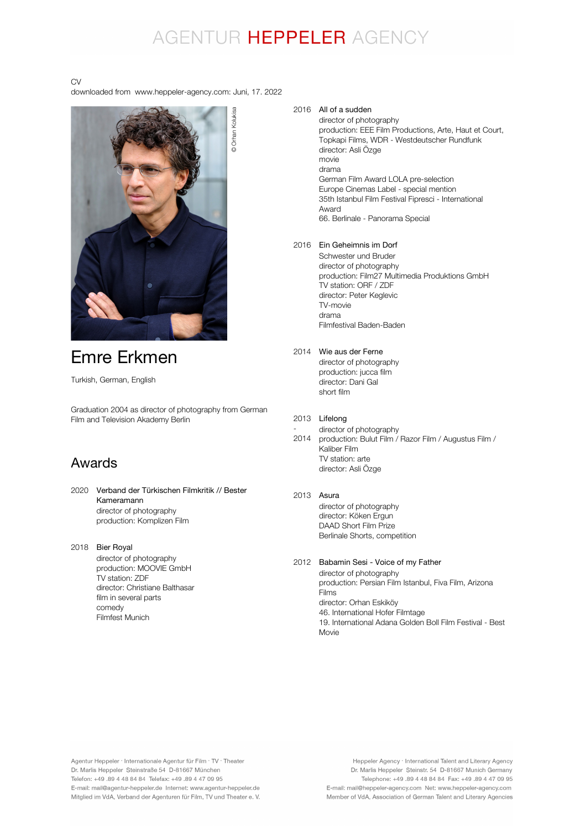## AGENTUR HEPPELER AGENCY

### CV

downloaded from www.heppeler-agency.com: Juni, 17. 2022



## Emre Erkmen

Turkish, German, English

Graduation 2004 as director of photography from German Film and Television Akademy Berlin

### Awards

- 2020 Verband der Türkischen Filmkritik // Bester director of photography production: Komplizen Film Kameramann
- 2018 Bier Royal director of photography production: MOOVIE GmbH TV station: ZDF director: Christiane Balthasar film in several parts comedy Filmfest Munich

### 2016 All of a sudden

director of photography production: EEE Film Productions, Arte, Haut et Court, Topkapi Films, WDR - Westdeutscher Rundfunk director: Asli Özge movie drama German Film Award LOLA pre-selection Europe Cinemas Label - special mention 35th Istanbul Film Festival Fipresci - International Award 66. Berlinale - Panorama Special

### 2016 Ein Geheimnis im Dorf

Schwester und Bruder director of photography production: Film27 Multimedia Produktions GmbH TV station: ORF / ZDF director: Peter Keglevic TV-movie drama Filmfestival Baden-Baden

### 2014 Wie aus der Ferne

director of photography production: jucca film director: Dani Gal short film

#### 2013 Lifelong

- 2014 director of photography production: Bulut Film / Razor Film / Augustus Film / .<br>Kaliber Film TV station: arte director: Asli Özge

### 2013 Asura

director of photography director: Köken Ergun DAAD Short Film Prize Berlinale Shorts, competition

### 2012 Babamin Sesi - Voice of my Father

director of photography production: Persian Film Istanbul, Fiva Film, Arizona Films director: Orhan Eskiköy 46. International Hofer Filmtage 19. International Adana Golden Boll Film Festival - Best Movie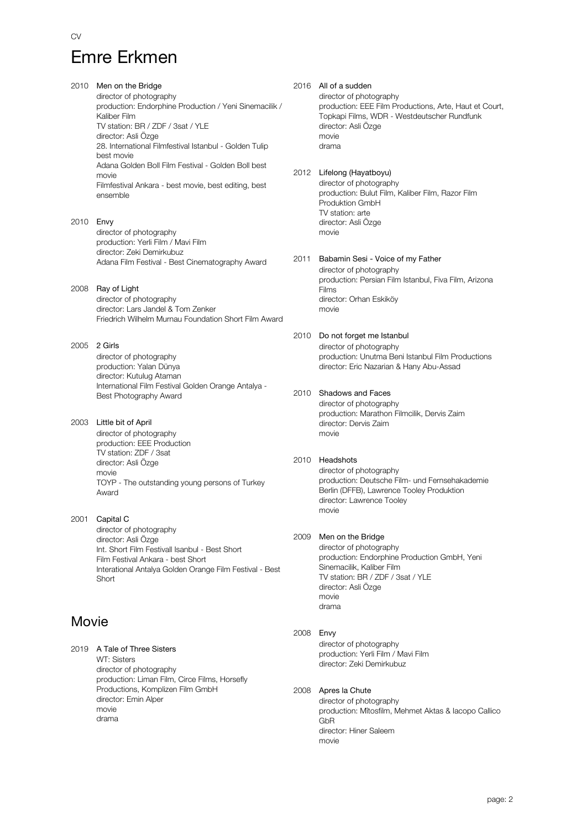# Emre Erkmen

2010 Men on the Bridge director of photography production: Endorphine Production / Yeni Sinemacilik / Kaliber Film TV station: BR / ZDF / 3sat / YLE director: Asli Özge 28. International Filmfestival Istanbul - Golden Tulip best movie Adana Golden Boll Film Festival - Golden Boll best movie Filmfestival Ankara - best movie, best editing, best ensemble 2010 Envy director of photography production: Yerli Film / Mavi Film director: Zeki Demirkubuz Adana Film Festival - Best Cinematography Award

- 2008 Ray of Light director of photography director: Lars Jandel & Tom Zenker Friedrich Wilhelm Murnau Foundation Short Film Award
- 2005 2 Girls director of photography production: Yalan Dünya director: Kutulug Ataman International Film Festival Golden Orange Antalya - Best Photography Award

2003 Little bit of April director of photography production: EEE Production TV station: ZDF / 3sat director: Asli Özge movie TOYP - The outstanding young persons of Turkey Award

2001 Capital C director of photography director: Asli Özge Int. Short Film Festivall Isanbul - Best Short Film Festival Ankara - best Short Interational Antalya Golden Orange Film Festival - Best Short

### Movie

2019 A Tale of Three Sisters WT: Sisters director of photography production: Liman Film, Circe Films, Horsefly Productions, Komplizen Film GmbH director: Emin Alper movie drama

2016 All of a sudden director of photography production: EEE Film Productions, Arte, Haut et Court, Topkapi Films, WDR - Westdeutscher Rundfunk director: Asli Özge movie drama

2012 Lifelong (Hayatboyu) director of photography production: Bulut Film, Kaliber Film, Razor Film Produktion GmbH TV station: arte director: Asli Özge movie

- 2011 Babamin Sesi Voice of my Father director of photography production: Persian Film Istanbul, Fiva Film, Arizona Films director: Orhan Eskiköy movie
- 2010 Do not forget me Istanbul director of photography production: Unutma Beni Istanbul Film Productions director: Eric Nazarian & Hany Abu-Assad
- 2010 Shadows and Faces

director of photography production: Marathon Filmcilik, Dervis Zaim director: Dervis Zaim movie

### 2010 Headshots

director of photography production: Deutsche Film- und Fernsehakademie Berlin (DFFB), Lawrence Tooley Produktion director: Lawrence Tooley movie

### 2009 Men on the Bridge

director of photography production: Endorphine Production GmbH, Yeni Sinemacilik, Kaliber Film TV station: BR / ZDF / 3sat / YLE director: Asli Özge movie drama

### 2008 Envy

director of photography production: Yerli Film / Mavi Film director: Zeki Demirkubuz

### 2008 Apres la Chute

director of photography production: Mîtosfilm, Mehmet Aktas & Iacopo Callico GbR director: Hiner Saleem movie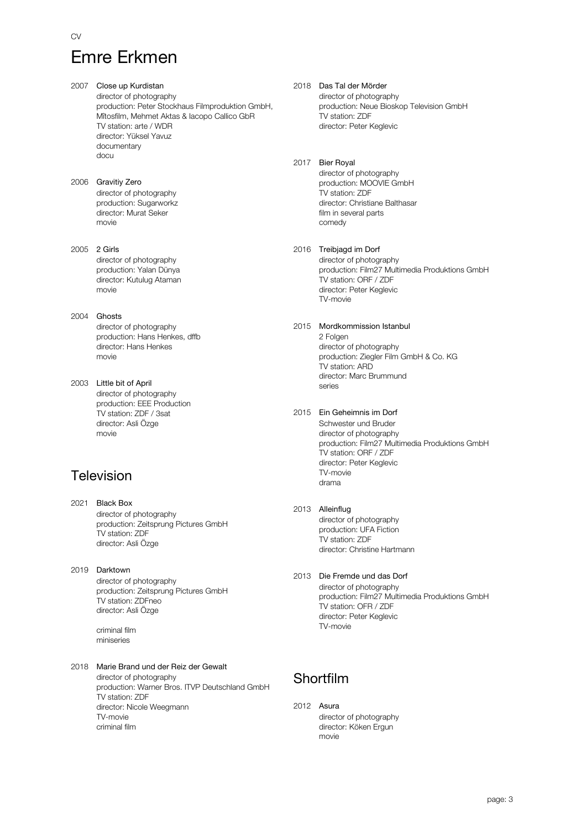# Emre Erkmen

- 2007 Close up Kurdistan director of photography production: Peter Stockhaus Filmproduktion GmbH, Mîtosfilm, Mehmet Aktas & Iacopo Callico GbR TV station: arte / WDR director: Yüksel Yavuz documentary docu
- 2006 Gravitiy Zero director of photography production: Sugarworkz director: Murat Seker movie
- 2005 2 Girls director of photography production: Yalan Dünya director: Kutulug Ataman movie
- 2004 Ghosts director of photography production: Hans Henkes, dffb director: Hans Henkes movie
- 2003 Little bit of April director of photography production: EEE Production TV station: ZDF / 3sat director: Asli Özge movie

### Television

- 2021 Black Box director of photography production: Zeitsprung Pictures GmbH TV station: ZDF director: Asli Özge
- 2019 Darktown director of photography production: Zeitsprung Pictures GmbH TV station: ZDFneo director: Asli Özge

criminal film miniseries

#### 2018 Marie Brand und der Reiz der Gewalt director of photography production: Warner Bros. ITVP Deutschland GmbH TV station: ZDF director: Nicole Weegmann TV-movie criminal film

### 2018 Das Tal der Mörder

director of photography production: Neue Bioskop Television GmbH TV station: ZDF director: Peter Keglevic

### 2017 Bier Royal

director of photography production: MOOVIE GmbH TV station: ZDF director: Christiane Balthasar film in several parts comedy

### 2016 Treibjagd im Dorf

director of photography production: Film27 Multimedia Produktions GmbH TV station: ORF / ZDF director: Peter Keglevic TV-movie

### 2015 Mordkommission Istanbul

2 Folgen director of photography production: Ziegler Film GmbH & Co. KG TV station: ARD director: Marc Brummund series

### 2015 Ein Geheimnis im Dorf

Schwester und Bruder director of photography production: Film27 Multimedia Produktions GmbH TV station: ORF / ZDF director: Peter Keglevic TV-movie drama

### 2013 Alleinflug

director of photography production: UFA Fiction TV station: ZDF director: Christine Hartmann

### 2013 Die Fremde und das Dorf

director of photography production: Film27 Multimedia Produktions GmbH TV station: OFR / ZDF director: Peter Keglevic TV-movie

### Shortfilm

2012 Asura director of photography director: Köken Ergun movie